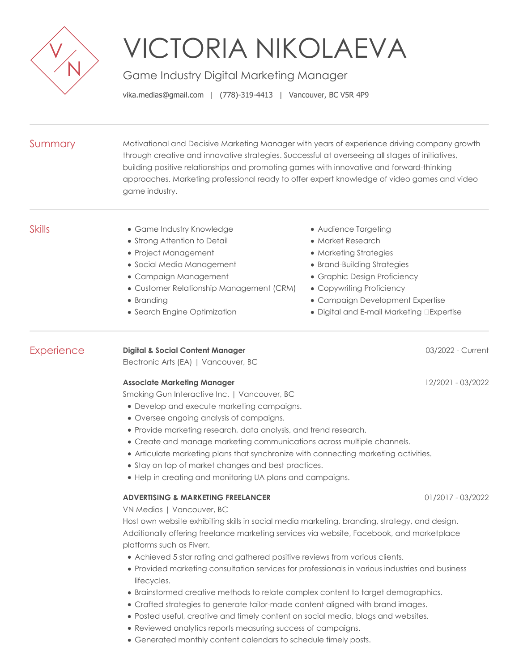

## VICTORIA NIKOLAEVA

Game Industry Digital Marketing Manager

vika.medias@gmail.com | (778)-319-4413 | Vancouver, BC V5R 4P9

| Summary       | Motivational and Decisive Marketing Manager with years of experience driving company growth<br>through creative and innovative strategies. Successful at overseeing all stages of initiatives,<br>building positive relationships and promoting games with innovative and forward-thinking<br>approaches. Marketing professional ready to offer expert knowledge of video games and video<br>game industry.                                                                                                                                                                                                                                                                                                                                                                                                                                                                                                                  |                                                                                                                                                                                                                                                        |  |
|---------------|------------------------------------------------------------------------------------------------------------------------------------------------------------------------------------------------------------------------------------------------------------------------------------------------------------------------------------------------------------------------------------------------------------------------------------------------------------------------------------------------------------------------------------------------------------------------------------------------------------------------------------------------------------------------------------------------------------------------------------------------------------------------------------------------------------------------------------------------------------------------------------------------------------------------------|--------------------------------------------------------------------------------------------------------------------------------------------------------------------------------------------------------------------------------------------------------|--|
| <b>Skills</b> | • Game Industry Knowledge<br>• Strong Attention to Detail<br>• Project Management<br>• Social Media Management<br>• Campaign Management<br>• Customer Relationship Management (CRM)<br>• Branding<br>• Search Engine Optimization                                                                                                                                                                                                                                                                                                                                                                                                                                                                                                                                                                                                                                                                                            | • Audience Targeting<br>• Market Research<br>• Marketing Strategies<br>• Brand-Building Strategies<br>• Graphic Design Proficiency<br>• Copywriting Proficiency<br>• Campaign Development Expertise<br>· Digital and E-mail Marketing <b>Expertise</b> |  |
| Experience    | <b>Digital &amp; Social Content Manager</b><br>Electronic Arts (EA)   Vancouver, BC                                                                                                                                                                                                                                                                                                                                                                                                                                                                                                                                                                                                                                                                                                                                                                                                                                          | 03/2022 - Current                                                                                                                                                                                                                                      |  |
|               | <b>Associate Marketing Manager</b><br>12/2021 - 03/2022<br>Smoking Gun Interactive Inc.   Vancouver, BC<br>• Develop and execute marketing campaigns.<br>• Oversee ongoing analysis of campaigns.<br>• Provide marketing research, data analysis, and trend research.<br>• Create and manage marketing communications across multiple channels.<br>• Articulate marketing plans that synchronize with connecting marketing activities.<br>• Stay on top of market changes and best practices.<br>• Help in creating and monitoring UA plans and campaigns.                                                                                                                                                                                                                                                                                                                                                                   |                                                                                                                                                                                                                                                        |  |
|               | <b>ADVERTISING &amp; MARKETING FREELANCER</b><br>01/2017 - 03/2022<br>VN Medias I Vancouver. BC<br>Host own website exhibiting skills in social media marketing, branding, strategy, and design.<br>Additionally offering freelance marketing services via website, Facebook, and marketplace<br>platforms such as Fiverr.<br>• Achieved 5 star rating and gathered positive reviews from various clients.<br>• Provided marketing consultation services for professionals in various industries and business<br>lifecycles.<br>• Brainstormed creative methods to relate complex content to target demographics.<br>• Crafted strategies to generate tailor-made content aligned with brand images.<br>• Posted useful, creative and timely content on social media, blogs and websites.<br>• Reviewed analytics reports measuring success of campaigns.<br>• Generated monthly content calendars to schedule timely posts. |                                                                                                                                                                                                                                                        |  |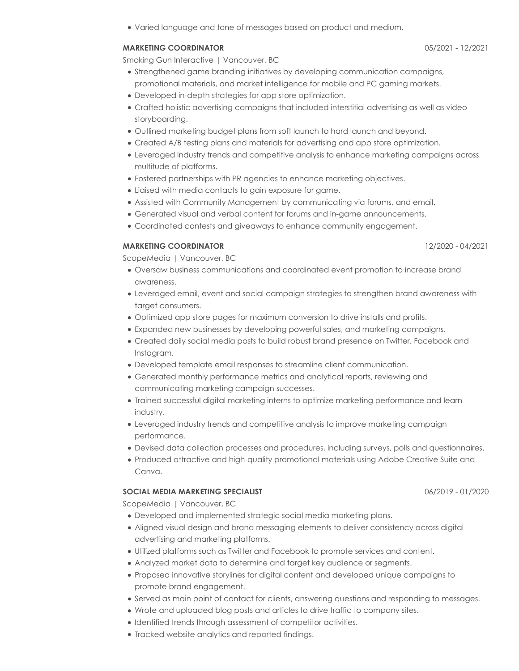Varied language and tone of messages based on product and medium.

## **MARKETING COORDINATOR** 05/2021 - 12/2021

Smoking Gun Interactive | Vancouver, BC

- Strengthened game branding initiatives by developing communication campaigns, promotional materials, and market intelligence for mobile and PC gaming markets.
- Developed in-depth strategies for app store optimization.
- Crafted holistic advertising campaigns that included interstitial advertising as well as video storyboarding.
- Outlined marketing budget plans from soft launch to hard launch and beyond.
- Created A/B testing plans and materials for advertising and app store optimization.
- Leveraged industry trends and competitive analysis to enhance marketing campaigns across multitude of platforms.
- Fostered partnerships with PR agencies to enhance marketing objectives.
- Liaised with media contacts to gain exposure for game.
- Assisted with Community Management by communicating via forums, and email.
- Generated visual and verbal content for forums and in-game announcements.
- Coordinated contests and giveaways to enhance community engagement.

## **MARKETING COORDINATOR** 12/2020 - 04/2021

ScopeMedia | Vancouver, BC

- Oversaw business communications and coordinated event promotion to increase brand awareness.
- Leveraged email, event and social campaign strategies to strengthen brand awareness with target consumers.
- Optimized app store pages for maximum conversion to drive installs and profits.
- Expanded new businesses by developing powerful sales, and marketing campaigns.
- Created daily social media posts to build robust brand presence on Twitter, Facebook and Instagram.
- Developed template email responses to streamline client communication.
- Generated monthly performance metrics and analytical reports, reviewing and communicating marketing campaign successes.
- Trained successful digital marketing interns to optimize marketing performance and learn industry.
- Leveraged industry trends and competitive analysis to improve marketing campaign performance.
- Devised data collection processes and procedures, including surveys, polls and questionnaires.
- Produced attractive and high-quality promotional materials using Adobe Creative Suite and Canva.

## **SOCIAL MEDIA MARKETING SPECIALIST** 06/2019 - 01/2020

ScopeMedia | Vancouver, BC

- Developed and implemented strategic social media marketing plans.
- Aligned visual design and brand messaging elements to deliver consistency across digital advertising and marketing platforms.
- Utilized platforms such as Twitter and Facebook to promote services and content.
- Analyzed market data to determine and target key audience or segments.
- Proposed innovative storylines for digital content and developed unique campaigns to promote brand engagement.
- Served as main point of contact for clients, answering questions and responding to messages.
- Wrote and uploaded blog posts and articles to drive traffic to company sites.
- Identified trends through assessment of competitor activities.
- Tracked website analytics and reported findings.